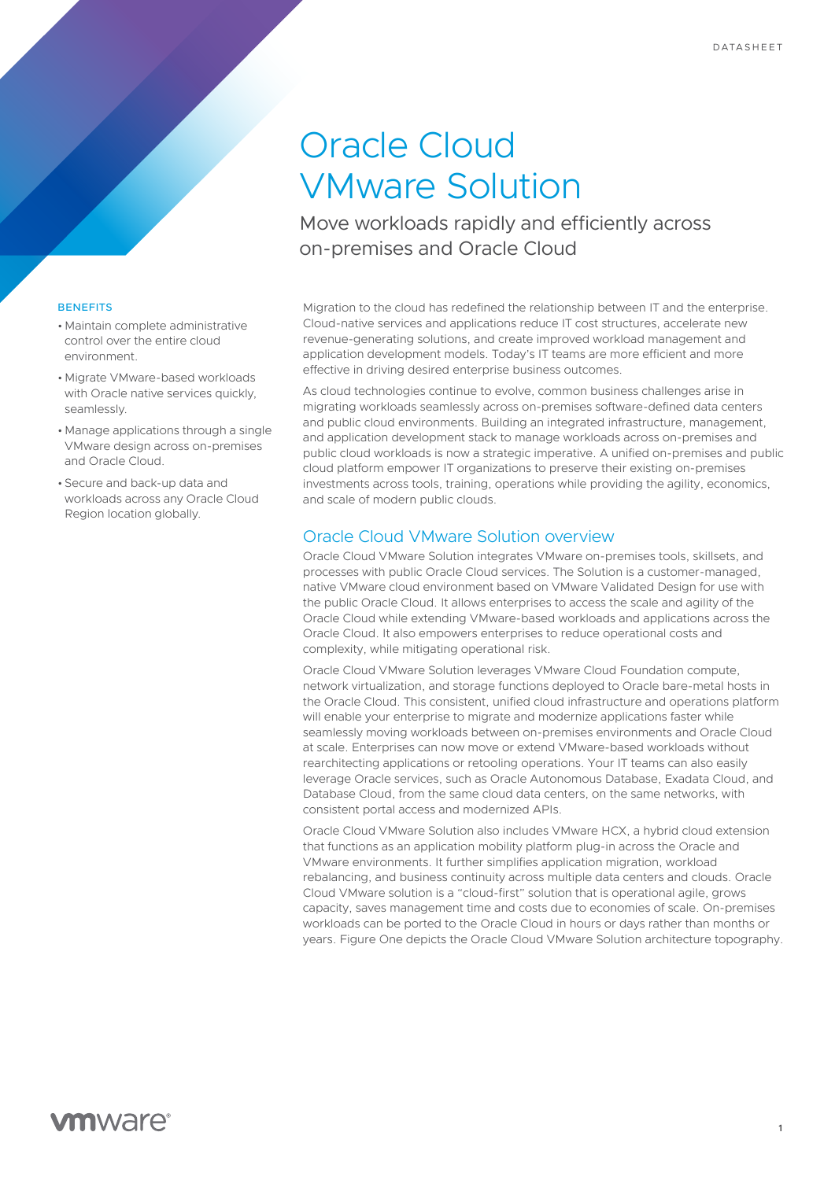# Oracle Cloud VMware Solution

Move workloads rapidly and efficiently across on-premises and Oracle Cloud

Migration to the cloud has redefined the relationship between IT and the enterprise. Cloud-native services and applications reduce IT cost structures, accelerate new revenue-generating solutions, and create improved workload management and application development models. Today's IT teams are more efficient and more effective in driving desired enterprise business outcomes.

As cloud technologies continue to evolve, common business challenges arise in migrating workloads seamlessly across on-premises software-defined data centers and public cloud environments. Building an integrated infrastructure, management, and application development stack to manage workloads across on-premises and public cloud workloads is now a strategic imperative. A unified on-premises and public cloud platform empower IT organizations to preserve their existing on-premises investments across tools, training, operations while providing the agility, economics, and scale of modern public clouds.

# Oracle Cloud VMware Solution overview

Oracle Cloud VMware Solution integrates VMware on-premises tools, skillsets, and processes with public Oracle Cloud services. The Solution is a customer-managed, native VMware cloud environment based on VMware Validated Design for use with the public Oracle Cloud. It allows enterprises to access the scale and agility of the Oracle Cloud while extending VMware-based workloads and applications across the Oracle Cloud. It also empowers enterprises to reduce operational costs and complexity, while mitigating operational risk.

Oracle Cloud VMware Solution leverages VMware Cloud Foundation compute, network virtualization, and storage functions deployed to Oracle bare-metal hosts in the Oracle Cloud. This consistent, unified cloud infrastructure and operations platform will enable your enterprise to migrate and modernize applications faster while seamlessly moving workloads between on-premises environments and Oracle Cloud at scale. Enterprises can now move or extend VMware-based workloads without rearchitecting applications or retooling operations. Your IT teams can also easily leverage Oracle services, such as Oracle Autonomous Database, Exadata Cloud, and Database Cloud, from the same cloud data centers, on the same networks, with consistent portal access and modernized APIs.

Oracle Cloud VMware Solution also includes VMware HCX, a hybrid cloud extension that functions as an application mobility platform plug-in across the Oracle and VMware environments. It further simplifies application migration, workload rebalancing, and business continuity across multiple data centers and clouds. Oracle Cloud VMware solution is a "cloud-first" solution that is operational agile, grows capacity, saves management time and costs due to economies of scale. On-premises workloads can be ported to the Oracle Cloud in hours or days rather than months or years. Figure One depicts the Oracle Cloud VMware Solution architecture topography.

## **BENEFITS**

- Maintain complete administrative control over the entire cloud environment.
- Migrate VMware-based workloads with Oracle native services quickly. seamlessly.
- Manage applications through a single VMware design across on-premises and Oracle Cloud.
- Secure and back-up data and workloads across any Oracle Cloud Region location globally.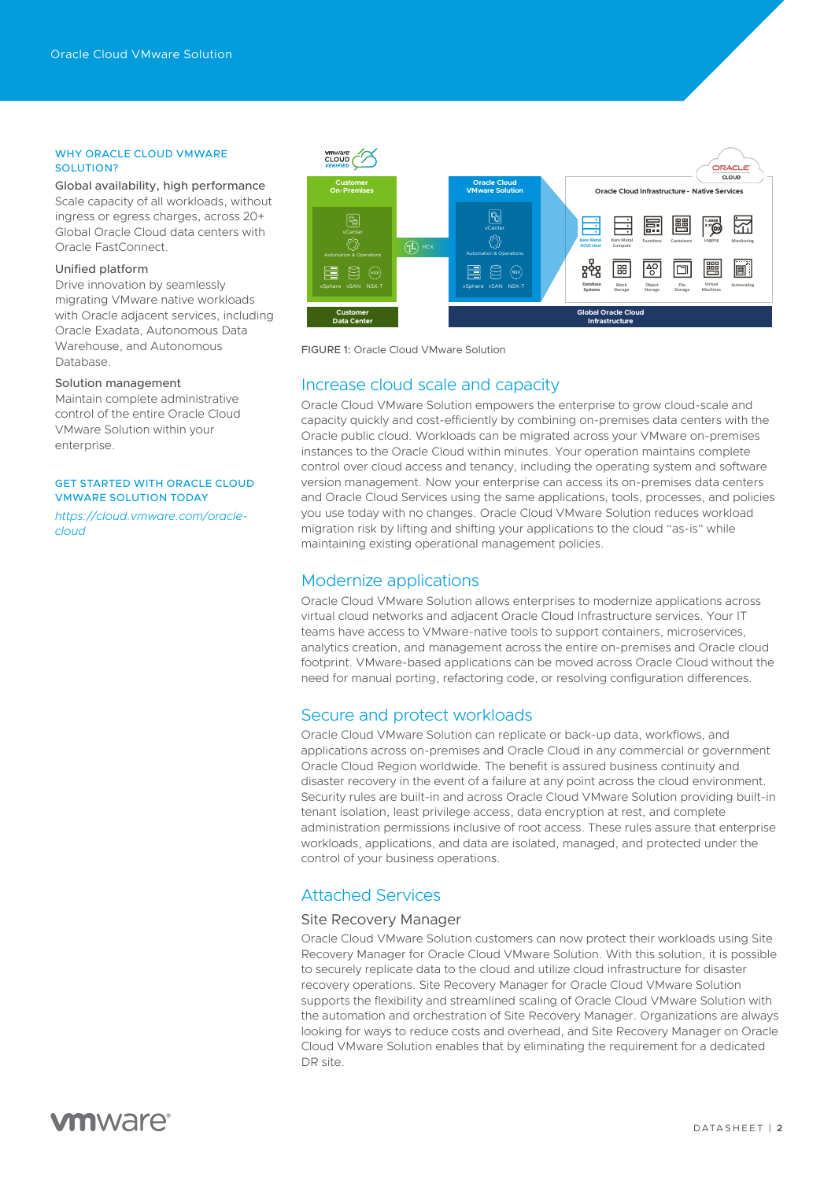#### WHY ORACLE CLOUD VMWARE SOLUTION?

Global availability, high performance Scale capacity of all workloads, without ingress or egress charges, across 20+ Global Oracle Cloud data centers with Oracle FastConnect.

## Unified platform

Drive innovation by seamlessly migrating VMware native workloads with Oracle adjacent services, including Oracle Exadata, Autonomous Data Warehouse, and Autonomous Database.

## Solution management

Maintain complete administrative control of the entire Oracle Cloud VMware Solution within your enterprise.

## GET STARTED WITH ORACLE CLOUD VMWARE SOLUTION TODAY

*[https://cloud.vmware.com/oracle](https://cloud.vmware.com/oracle-cloud)[cloud](https://cloud.vmware.com/oracle-cloud)* 



FIGURE 1: Oracle Cloud VMware Solution

## Increase cloud scale and capacity

Oracle Cloud VMware Solution empowers the enterprise to grow cloud-scale and capacity quickly and cost-efficiently by combining on-premises data centers with the Oracle public cloud. Workloads can be migrated across your VMware on-premises instances to the Oracle Cloud within minutes. Your operation maintains complete control over cloud access and tenancy, including the operating system and software version management. Now your enterprise can access its on-premises data centers and Oracle Cloud Services using the same applications, tools, processes, and policies you use today with no changes. Oracle Cloud VMware Solution reduces workload migration risk by lifting and shifting your applications to the cloud "as-is" while maintaining existing operational management policies.

# Modernize applications

Oracle Cloud VMware Solution allows enterprises to modernize applications across virtual cloud networks and adjacent Oracle Cloud Infrastructure services. Your IT teams have access to VMware-native tools to support containers, microservices, analytics creation, and management across the entire on-premises and Oracle cloud footprint. VMware-based applications can be moved across Oracle Cloud without the need for manual porting, refactoring code, or resolving configuration differences.

## Secure and protect workloads

Oracle Cloud VMware Solution can replicate or back-up data, workflows, and applications across on-premises and Oracle Cloud in any commercial or government Oracle Cloud Region worldwide. The benefit is assured business continuity and disaster recovery in the event of a failure at any point across the cloud environment. Security rules are built-in and across Oracle Cloud VMware Solution providing built-in tenant isolation, least privilege access, data encryption at rest, and complete administration permissions inclusive of root access. These rules assure that enterprise workloads, applications, and data are isolated, managed, and protected under the control of your business operations.

# Attached Services

#### Site Recovery Manager

Oracle Cloud VMware Solution customers can now protect their workloads using Site Recovery Manager for Oracle Cloud VMware Solution. With this solution, it is possible to securely replicate data to the cloud and utilize cloud infrastructure for disaster recovery operations. Site Recovery Manager for Oracle Cloud VMware Solution supports the flexibility and streamlined scaling of Oracle Cloud VMware Solution with the automation and orchestration of Site Recovery Manager. Organizations are always looking for ways to reduce costs and overhead, and Site Recovery Manager on Oracle Cloud VMware Solution enables that by eliminating the requirement for a dedicated DR site.